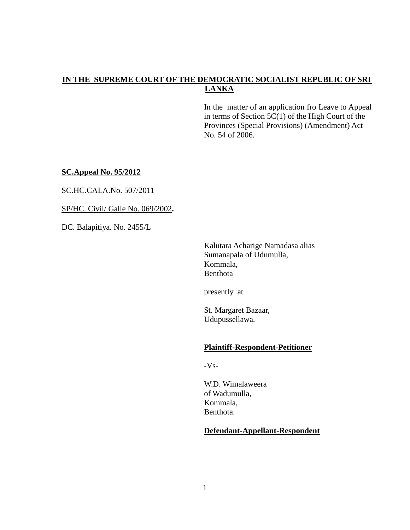## **IN THE SUPREME COURT OF THE DEMOCRATIC SOCIALIST REPUBLIC OF SRI LANKA**

In the matter of an application fro Leave to Appeal in terms of Section  $5C(1)$  of the High Court of the Provinces (Special Provisions) (Amendment) Act No. 54 of 2006.

**SC.Appeal No. 95/2012**

SC.HC.CALA.No. 507/2011

SP/HC. Civil/ Galle No. 069/2002**.**

DC. Balapitiya. No. 2455/L

Kalutara Acharige Namadasa alias Sumanapala of Udumulla, Kommala, Benthota

presently at

St. Margaret Bazaar, Udupussellawa.

### **Plaintiff-Respondent-Petitioner**

-Vs-

W.D. Wimalaweera of Wadumulla, Kommala, Benthota.

### **Defendant-Appellant-Respondent**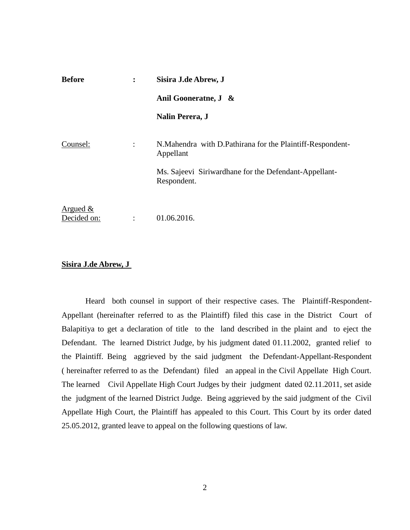| <b>Before</b>              | $\ddot{\cdot}$                                                       | Sisira J.de Abrew, J<br>Anil Gooneratne, J & |
|----------------------------|----------------------------------------------------------------------|----------------------------------------------|
|                            |                                                                      |                                              |
|                            |                                                                      | Counsel:                                     |
|                            | Ms. Sajeevi Siriwardhane for the Defendant-Appellant-<br>Respondent. |                                              |
| Argued $\&$<br>Decided on: |                                                                      | 01.06.2016.                                  |

### **Sisira J.de Abrew, J**

Heard both counsel in support of their respective cases. The Plaintiff-Respondent-Appellant (hereinafter referred to as the Plaintiff) filed this case in the District Court of Balapitiya to get a declaration of title to the land described in the plaint and to eject the Defendant. The learned District Judge, by his judgment dated 01.11.2002, granted relief to the Plaintiff. Being aggrieved by the said judgment the Defendant-Appellant-Respondent ( hereinafter referred to as the Defendant) filed an appeal in the Civil Appellate High Court. The learned Civil Appellate High Court Judges by their judgment dated 02.11.2011, set aside the judgment of the learned District Judge. Being aggrieved by the said judgment of the Civil Appellate High Court, the Plaintiff has appealed to this Court. This Court by its order dated 25.05.2012, granted leave to appeal on the following questions of law.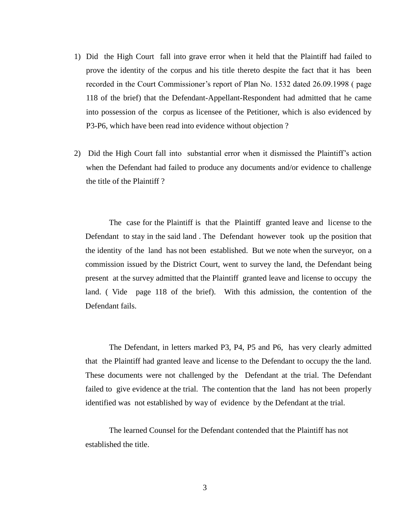- 1) Did the High Court fall into grave error when it held that the Plaintiff had failed to prove the identity of the corpus and his title thereto despite the fact that it has been recorded in the Court Commissioner's report of Plan No. 1532 dated 26.09.1998 ( page 118 of the brief) that the Defendant-Appellant-Respondent had admitted that he came into possession of the corpus as licensee of the Petitioner, which is also evidenced by P3-P6, which have been read into evidence without objection ?
- 2) Did the High Court fall into substantial error when it dismissed the Plaintiff's action when the Defendant had failed to produce any documents and/or evidence to challenge the title of the Plaintiff ?

The case for the Plaintiff is that the Plaintiff granted leave and license to the Defendant to stay in the said land . The Defendant however took up the position that the identity of the land has not been established. But we note when the surveyor, on a commission issued by the District Court, went to survey the land, the Defendant being present at the survey admitted that the Plaintiff granted leave and license to occupy the land. ( Vide page 118 of the brief). With this admission, the contention of the Defendant fails.

The Defendant, in letters marked P3, P4, P5 and P6, has very clearly admitted that the Plaintiff had granted leave and license to the Defendant to occupy the the land. These documents were not challenged by the Defendant at the trial. The Defendant failed to give evidence at the trial. The contention that the land has not been properly identified was not established by way of evidence by the Defendant at the trial.

The learned Counsel for the Defendant contended that the Plaintiff has not established the title.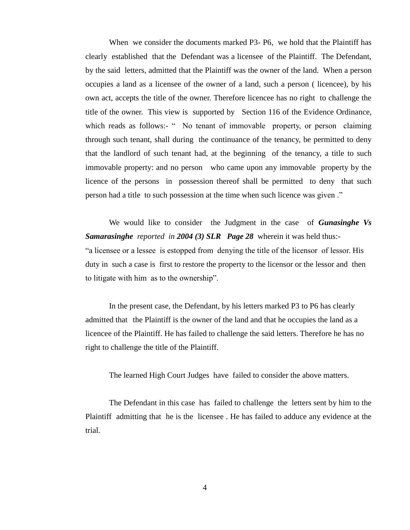When we consider the documents marked P3- P6, we hold that the Plaintiff has clearly established that the Defendant was a licensee of the Plaintiff. The Defendant, by the said letters, admitted that the Plaintiff was the owner of the land. When a person occupies a land as a licensee of the owner of a land, such a person ( licencee), by his own act, accepts the title of the owner. Therefore licencee has no right to challenge the title of the owner. This view is supported by Section 116 of the Evidence Ordinance, which reads as follows:- " No tenant of immovable property, or person claiming through such tenant, shall during the continuance of the tenancy, be permitted to deny that the landlord of such tenant had, at the beginning of the tenancy, a title to such immovable property: and no person who came upon any immovable property by the licence of the persons in possession thereof shall be permitted to deny that such person had a title to such possession at the time when such licence was given ."

We would like to consider the Judgment in the case of *Gunasinghe Vs Samarasinghe reported in 2004 (3) SLR Page 28* wherein it was held thus:- "a licensee or a lessee is estopped from denying the title of the licensor of lessor. His duty in such a case is first to restore the property to the licensor or the lessor and then to litigate with him as to the ownership".

In the present case, the Defendant, by his letters marked P3 to P6 has clearly admitted that the Plaintiff is the owner of the land and that he occupies the land as a licencee of the Plaintiff. He has failed to challenge the said letters. Therefore he has no right to challenge the title of the Plaintiff.

The learned High Court Judges have failed to consider the above matters.

The Defendant in this case has failed to challenge the letters sent by him to the Plaintiff admitting that he is the licensee . He has failed to adduce any evidence at the trial.